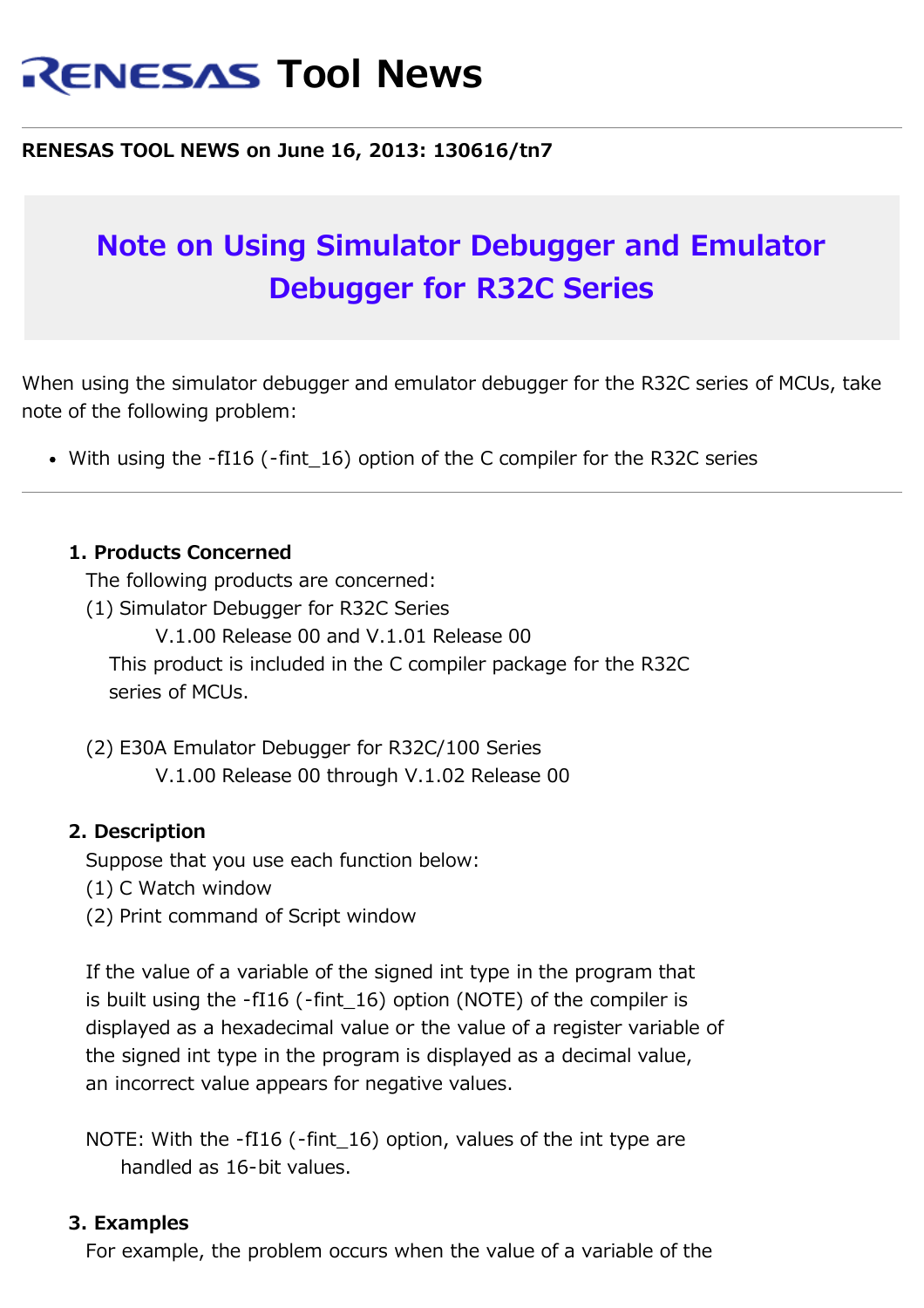# **RENESAS Tool News**

#### **RENESAS TOOL NEWS on June 16, 2013: 130616/tn7**

## **Note on Using Simulator Debugger and Emulator Debugger for R32C Series**

When using the simulator debugger and emulator debugger for the R32C series of MCUs, take note of the following problem:

• With using the -fI16 (-fint 16) option of the C compiler for the R32C series

#### **1. Products Concerned**

The following products are concerned:

- (1) Simulator Debugger for R32C Series
	- V.1.00 Release 00 and V.1.01 Release 00

 This product is included in the C compiler package for the R32C series of MCUs.

 (2) E30A Emulator Debugger for R32C/100 Series V.1.00 Release 00 through V.1.02 Release 00

#### **2. Description**

Suppose that you use each function below:

- (1) C Watch window
- (2) Print command of Script window

 If the value of a variable of the signed int type in the program that is built using the -fI16 (-fint\_16) option (NOTE) of the compiler is displayed as a hexadecimal value or the value of a register variable of the signed int type in the program is displayed as a decimal value, an incorrect value appears for negative values.

NOTE: With the -fI16 (-fint 16) option, values of the int type are handled as 16-bit values.

#### **3. Examples**

For example, the problem occurs when the value of a variable of the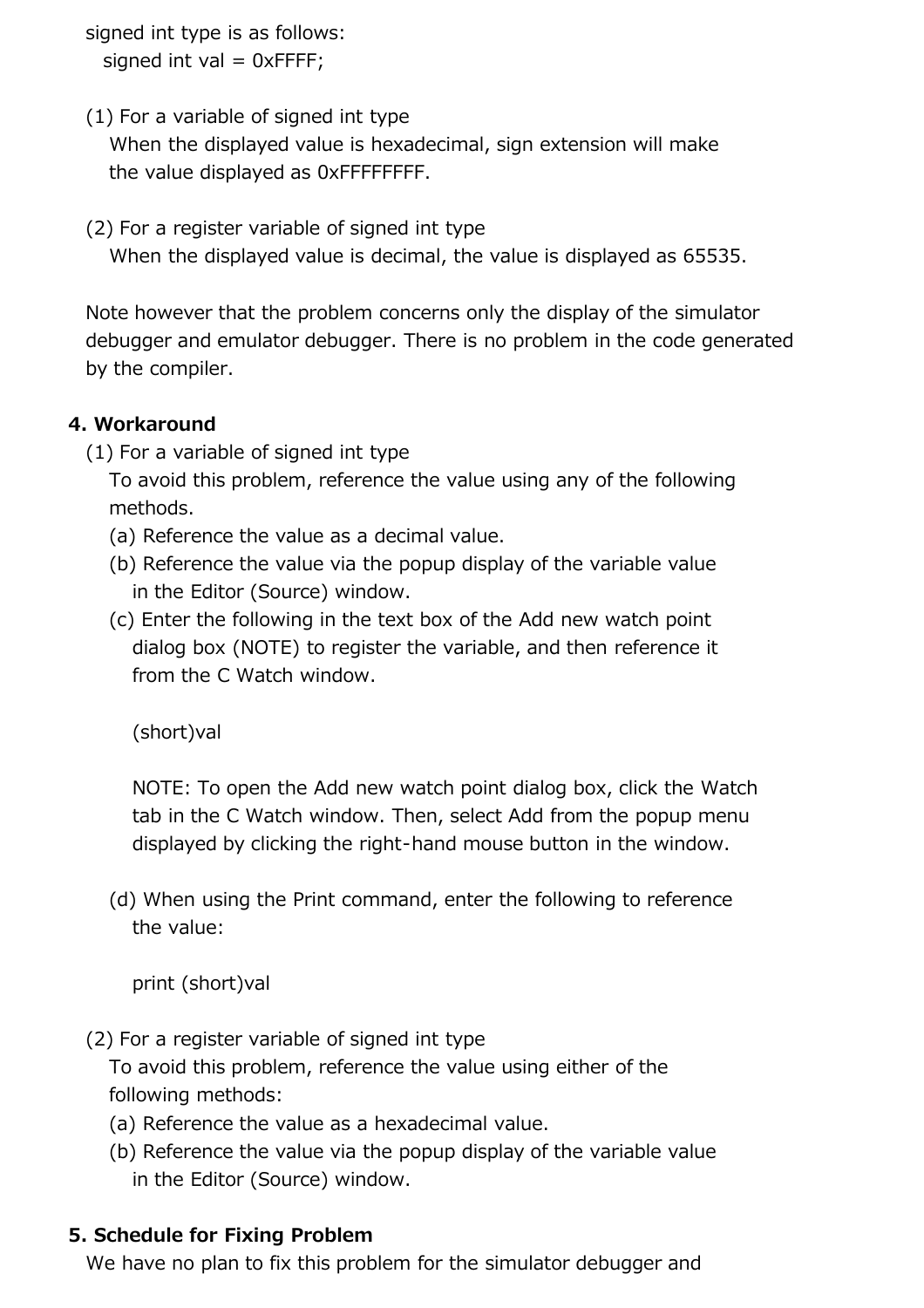signed int type is as follows:

signed int val  $= 0x$ FFFF;

(1) For a variable of signed int type

 When the displayed value is hexadecimal, sign extension will make the value displayed as 0xFFFFFFFF.

(2) For a register variable of signed int type

When the displayed value is decimal, the value is displayed as 65535.

 Note however that the problem concerns only the display of the simulator debugger and emulator debugger. There is no problem in the code generated by the compiler.

### **4. Workaround**

(1) For a variable of signed int type

 To avoid this problem, reference the value using any of the following methods.

- (a) Reference the value as a decimal value.
- (b) Reference the value via the popup display of the variable value in the Editor (Source) window.
- (c) Enter the following in the text box of the Add new watch point dialog box (NOTE) to register the variable, and then reference it from the C Watch window.

(short)val

 NOTE: To open the Add new watch point dialog box, click the Watch tab in the C Watch window. Then, select Add from the popup menu displayed by clicking the right-hand mouse button in the window.

 (d) When using the Print command, enter the following to reference the value:

print (short)val

(2) For a register variable of signed int type

 To avoid this problem, reference the value using either of the following methods:

- (a) Reference the value as a hexadecimal value.
- (b) Reference the value via the popup display of the variable value in the Editor (Source) window.

#### **5. Schedule for Fixing Problem**

We have no plan to fix this problem for the simulator debugger and